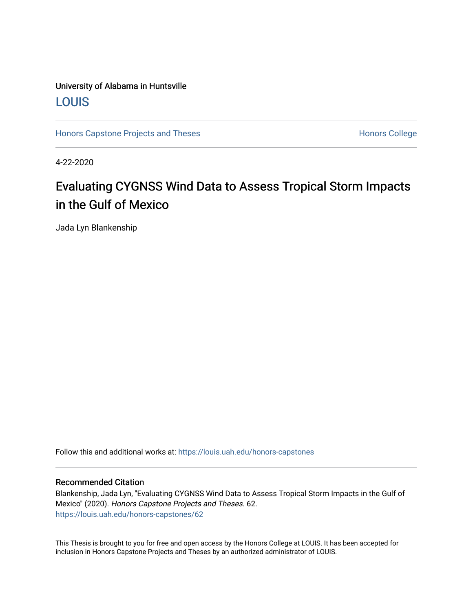# University of Alabama in Huntsville [LOUIS](https://louis.uah.edu/)

[Honors Capstone Projects and Theses](https://louis.uah.edu/honors-capstones) **Honors College** Honors College

4-22-2020

# Evaluating CYGNSS Wind Data to Assess Tropical Storm Impacts in the Gulf of Mexico

Jada Lyn Blankenship

Follow this and additional works at: [https://louis.uah.edu/honors-capstones](https://louis.uah.edu/honors-capstones?utm_source=louis.uah.edu%2Fhonors-capstones%2F62&utm_medium=PDF&utm_campaign=PDFCoverPages) 

#### Recommended Citation

Blankenship, Jada Lyn, "Evaluating CYGNSS Wind Data to Assess Tropical Storm Impacts in the Gulf of Mexico" (2020). Honors Capstone Projects and Theses. 62. [https://louis.uah.edu/honors-capstones/62](https://louis.uah.edu/honors-capstones/62?utm_source=louis.uah.edu%2Fhonors-capstones%2F62&utm_medium=PDF&utm_campaign=PDFCoverPages)

This Thesis is brought to you for free and open access by the Honors College at LOUIS. It has been accepted for inclusion in Honors Capstone Projects and Theses by an authorized administrator of LOUIS.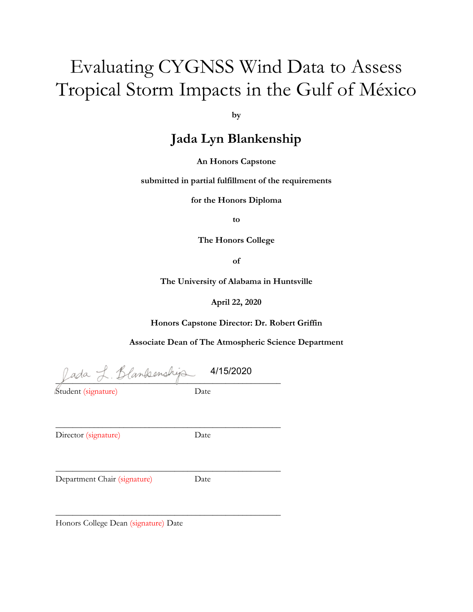# Evaluating CYGNSS Wind Data to Assess Tropical Storm Impacts in the Gulf of México

**by**

# **Jada Lyn Blankenship**

**An Honors Capstone**

**submitted in partial fulfillment of the requirements** 

**for the Honors Diploma**

**to** 

**The Honors College** 

**of** 

**The University of Alabama in Huntsville**

**April 22, 2020**

**Honors Capstone Director: Dr. Robert Griffin**

**Associate Dean of The Atmospheric Science Department**

fada L. Blankenshija 4/15/2020

\_\_\_\_\_\_\_\_\_\_\_\_\_\_\_\_\_\_\_\_\_\_\_\_\_\_\_\_\_\_\_\_\_\_\_\_\_\_\_\_\_\_\_\_\_\_\_\_\_\_\_\_\_

\_\_\_\_\_\_\_\_\_\_\_\_\_\_\_\_\_\_\_\_\_\_\_\_\_\_\_\_\_\_\_\_\_\_\_\_\_\_\_\_\_\_\_\_\_\_\_\_\_\_\_\_\_

\_\_\_\_\_\_\_\_\_\_\_\_\_\_\_\_\_\_\_\_\_\_\_\_\_\_\_\_\_\_\_\_\_\_\_\_\_\_\_\_\_\_\_\_\_\_\_\_\_\_\_\_\_

Student (signature) Date

Director (signature) Date

Department Chair (signature) Date

Honors College Dean (signature) Date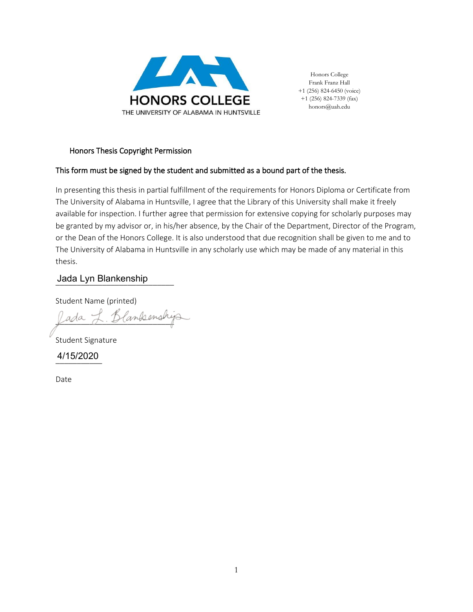

Honors College Frank Franz Hall +1 (256) 824-6450 (voice) +1 (256) 824-7339 (fax) honors@uah.edu

#### Honors Thesis Copyright Permission

#### This form must be signed by the student and submitted as a bound part of the thesis.

In presenting this thesis in partial fulfillment of the requirements for Honors Diploma or Certificate from The University of Alabama in Huntsville, I agree that the Library of this University shall make it freely available for inspection. I further agree that permission for extensive copying for scholarly purposes may be granted by my advisor or, in his/her absence, by the Chair of the Department, Director of the Program, or the Dean of the Honors College. It is also understood that due recognition shall be given to me and to The University of Alabama in Huntsville in any scholarly use which may be made of any material in this thesis.

# \_\_\_\_\_\_\_\_\_\_\_\_\_\_\_\_\_\_\_\_\_\_\_\_\_\_\_\_ Jada Lyn Blankenship

Student Name (printed)

Jada J. Blanksenshija

Student Signature

\_\_\_\_\_\_\_\_\_\_\_ 4/15/2020

Date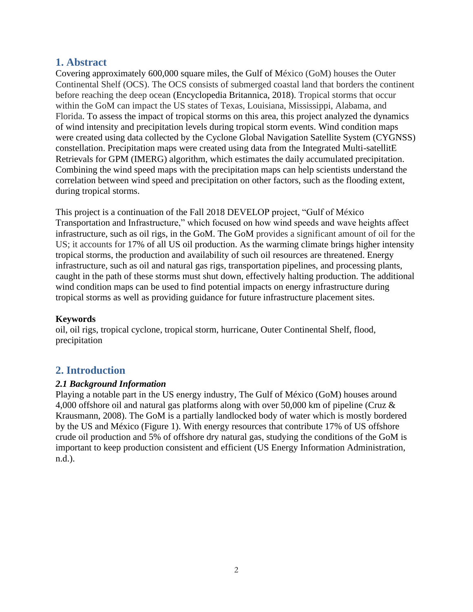# **1. Abstract**

Covering approximately 600,000 square miles, the Gulf of México (GoM) houses the Outer Continental Shelf (OCS). The OCS consists of submerged coastal land that borders the continent before reaching the deep ocean (Encyclopedia Britannica, 2018). Tropical storms that occur within the GoM can impact the US states of Texas, Louisiana, Mississippi, Alabama, and Florida. To assess the impact of tropical storms on this area, this project analyzed the dynamics of wind intensity and precipitation levels during tropical storm events. Wind condition maps were created using data collected by the Cyclone Global Navigation Satellite System (CYGNSS) constellation. Precipitation maps were created using data from the Integrated Multi-satellitE Retrievals for GPM (IMERG) algorithm, which estimates the daily accumulated precipitation. Combining the wind speed maps with the precipitation maps can help scientists understand the correlation between wind speed and precipitation on other factors, such as the flooding extent, during tropical storms.

This project is a continuation of the Fall 2018 DEVELOP project, "Gulf of México Transportation and Infrastructure," which focused on how wind speeds and wave heights affect infrastructure, such as oil rigs, in the GoM. The GoM provides a significant amount of oil for the US; it accounts for 17% of all US oil production. As the warming climate brings higher intensity tropical storms, the production and availability of such oil resources are threatened. Energy infrastructure, such as oil and natural gas rigs, transportation pipelines, and processing plants, caught in the path of these storms must shut down, effectively halting production. The additional wind condition maps can be used to find potential impacts on energy infrastructure during tropical storms as well as providing guidance for future infrastructure placement sites.

## **Keywords**

oil, oil rigs, tropical cyclone, tropical storm, hurricane, Outer Continental Shelf, flood, precipitation

# **2. Introduction**

#### *2.1 Background Information*

Playing a notable part in the US energy industry, The Gulf of México (GoM) houses around 4,000 offshore oil and natural gas platforms along with over 50,000 km of pipeline (Cruz & Krausmann, 2008). The GoM is a partially landlocked body of water which is mostly bordered by the US and México (Figure 1). With energy resources that contribute 17% of US offshore crude oil production and 5% of offshore dry natural gas, studying the conditions of the GoM is important to keep production consistent and efficient (US Energy Information Administration, n.d.).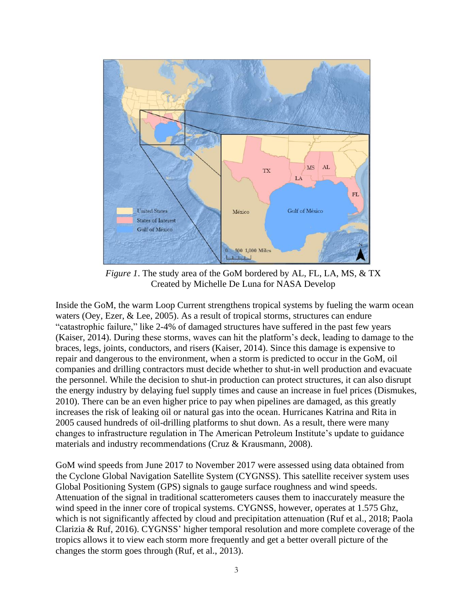

*Figure 1*. The study area of the GoM bordered by AL, FL, LA, MS, & TX Created by Michelle De Luna for NASA Develop

Inside the GoM, the warm Loop Current strengthens tropical systems by fueling the warm ocean waters (Oey, Ezer, & Lee, 2005). As a result of tropical storms, structures can endure "catastrophic failure," like 2-4% of damaged structures have suffered in the past few years (Kaiser, 2014). During these storms, waves can hit the platform's deck, leading to damage to the braces, legs, joints, conductors, and risers (Kaiser, 2014). Since this damage is expensive to repair and dangerous to the environment, when a storm is predicted to occur in the GoM, oil companies and drilling contractors must decide whether to shut-in well production and evacuate the personnel. While the decision to shut-in production can protect structures, it can also disrupt the energy industry by delaying fuel supply times and cause an increase in fuel prices (Dismukes, 2010). There can be an even higher price to pay when pipelines are damaged, as this greatly increases the risk of leaking oil or natural gas into the ocean. Hurricanes Katrina and Rita in 2005 caused hundreds of oil-drilling platforms to shut down. As a result, there were many changes to infrastructure regulation in The American Petroleum Institute's update to guidance materials and industry recommendations (Cruz & Krausmann, 2008).

GoM wind speeds from June 2017 to November 2017 were assessed using data obtained from the Cyclone Global Navigation Satellite System (CYGNSS). This satellite receiver system uses Global Positioning System (GPS) signals to gauge surface roughness and wind speeds. Attenuation of the signal in traditional scatterometers causes them to inaccurately measure the wind speed in the inner core of tropical systems. CYGNSS, however, operates at 1.575 Ghz, which is not significantly affected by cloud and precipitation attenuation (Ruf et al., 2018; Paola Clarizia & Ruf, 2016). CYGNSS' higher temporal resolution and more complete coverage of the tropics allows it to view each storm more frequently and get a better overall picture of the changes the storm goes through (Ruf, et al., 2013).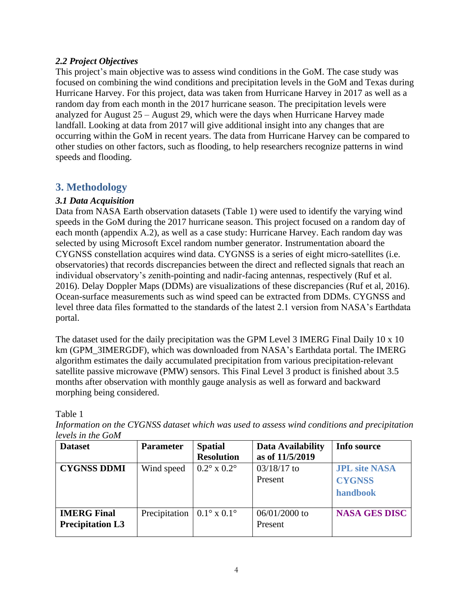#### *2.2 Project Objectives*

This project's main objective was to assess wind conditions in the GoM. The case study was focused on combining the wind conditions and precipitation levels in the GoM and Texas during Hurricane Harvey. For this project, data was taken from Hurricane Harvey in 2017 as well as a random day from each month in the 2017 hurricane season. The precipitation levels were analyzed for August 25 – August 29, which were the days when Hurricane Harvey made landfall. Looking at data from 2017 will give additional insight into any changes that are occurring within the GoM in recent years. The data from Hurricane Harvey can be compared to other studies on other factors, such as flooding, to help researchers recognize patterns in wind speeds and flooding.

# **3. Methodology**

#### *3.1 Data Acquisition*

Data from NASA Earth observation datasets (Table 1) were used to identify the varying wind speeds in the GoM during the 2017 hurricane season. This project focused on a random day of each month (appendix A.2), as well as a case study: Hurricane Harvey. Each random day was selected by using Microsoft Excel random number generator. Instrumentation aboard the CYGNSS constellation acquires wind data. CYGNSS is a series of eight micro-satellites (i.e. observatories) that records discrepancies between the direct and reflected signals that reach an individual observatory's zenith-pointing and nadir-facing antennas, respectively (Ruf et al. 2016). Delay Doppler Maps (DDMs) are visualizations of these discrepancies (Ruf et al, 2016). Ocean-surface measurements such as wind speed can be extracted from DDMs. CYGNSS and level three data files formatted to the standards of the latest 2.1 version from NASA's Earthdata portal.

The dataset used for the daily precipitation was the GPM Level 3 IMERG Final Daily 10 x 10 km (GPM\_3IMERGDF), which was downloaded from NASA's Earthdata portal. The IMERG algorithm estimates the daily accumulated precipitation from various precipitation-relevant satellite passive microwave (PMW) sensors. This Final Level 3 product is finished about 3.5 months after observation with monthly gauge analysis as well as forward and backward morphing being considered.

Table 1

*Information on the CYGNSS dataset which was used to assess wind conditions and precipitation levels in the GoM*

| <b>Dataset</b>          | <b>Parameter</b>                                           | <b>Spatial</b>                   | Data Availability | Info source          |
|-------------------------|------------------------------------------------------------|----------------------------------|-------------------|----------------------|
|                         |                                                            | <b>Resolution</b>                | as of 11/5/2019   |                      |
| <b>CYGNSS DDMI</b>      | Wind speed                                                 | $0.2^{\circ} \times 0.2^{\circ}$ | $03/18/17$ to     | <b>JPL site NASA</b> |
|                         |                                                            |                                  | Present           | <b>CYGNSS</b>        |
|                         |                                                            |                                  |                   | handbook             |
| <b>IMERG Final</b>      | Precipitation $\vert 0.1^{\circ} \times 0.1^{\circ} \vert$ |                                  | $06/01/2000$ to   | <b>NASA GES DISC</b> |
| <b>Precipitation L3</b> |                                                            |                                  | Present           |                      |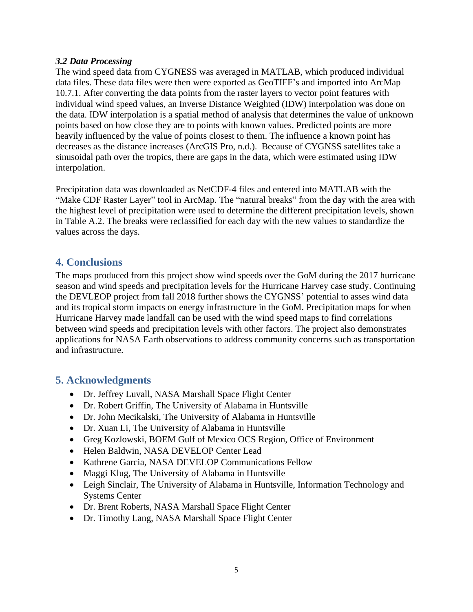#### *3.2 Data Processing*

The wind speed data from CYGNESS was averaged in MATLAB, which produced individual data files. These data files were then were exported as GeoTIFF's and imported into ArcMap 10.7.1. After converting the data points from the raster layers to vector point features with individual wind speed values, an Inverse Distance Weighted (IDW) interpolation was done on the data. IDW interpolation is a spatial method of analysis that determines the value of unknown points based on how close they are to points with known values. Predicted points are more heavily influenced by the value of points closest to them. The influence a known point has decreases as the distance increases (ArcGIS Pro, n.d.). Because of CYGNSS satellites take a sinusoidal path over the tropics, there are gaps in the data, which were estimated using IDW interpolation.

Precipitation data was downloaded as NetCDF-4 files and entered into MATLAB with the "Make CDF Raster Layer" tool in ArcMap. The "natural breaks" from the day with the area with the highest level of precipitation were used to determine the different precipitation levels, shown in Table A.2. The breaks were reclassified for each day with the new values to standardize the values across the days.

## **4. Conclusions**

The maps produced from this project show wind speeds over the GoM during the 2017 hurricane season and wind speeds and precipitation levels for the Hurricane Harvey case study. Continuing the DEVLEOP project from fall 2018 further shows the CYGNSS' potential to asses wind data and its tropical storm impacts on energy infrastructure in the GoM. Precipitation maps for when Hurricane Harvey made landfall can be used with the wind speed maps to find correlations between wind speeds and precipitation levels with other factors. The project also demonstrates applications for NASA Earth observations to address community concerns such as transportation and infrastructure.

## **5. Acknowledgments**

- Dr. Jeffrey Luvall, NASA Marshall Space Flight Center
- Dr. Robert Griffin, The University of Alabama in Huntsville
- Dr. John Mecikalski, The University of Alabama in Huntsville
- Dr. Xuan Li, The University of Alabama in Huntsville
- Greg Kozlowski, BOEM Gulf of Mexico OCS Region, Office of Environment
- Helen Baldwin, NASA DEVELOP Center Lead
- Kathrene Garcia, NASA DEVELOP Communications Fellow
- Maggi Klug, The University of Alabama in Huntsville
- Leigh Sinclair, The University of Alabama in Huntsville, Information Technology and Systems Center
- Dr. Brent Roberts, NASA Marshall Space Flight Center
- Dr. Timothy Lang, NASA Marshall Space Flight Center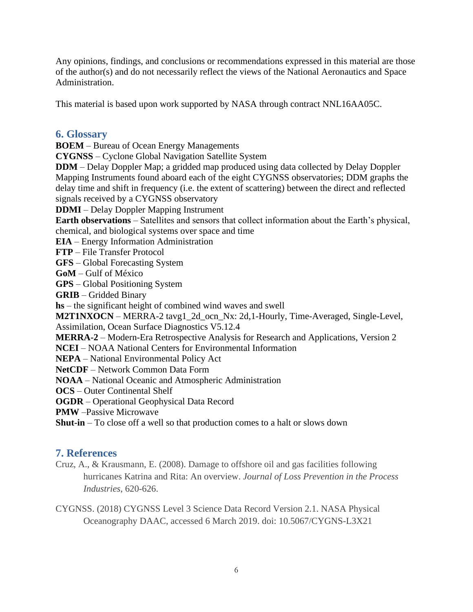Any opinions, findings, and conclusions or recommendations expressed in this material are those of the author(s) and do not necessarily reflect the views of the National Aeronautics and Space Administration.

This material is based upon work supported by NASA through contract NNL16AA05C.

#### **6. Glossary**

**BOEM** – Bureau of Ocean Energy Managements

**CYGNSS** – Cyclone Global Navigation Satellite System

**DDM** – Delay Doppler Map; a gridded map produced using data collected by Delay Doppler Mapping Instruments found aboard each of the eight CYGNSS observatories; DDM graphs the delay time and shift in frequency (i.e. the extent of scattering) between the direct and reflected signals received by a CYGNSS observatory

**DDMI** – Delay Doppler Mapping Instrument

**Earth observations** – Satellites and sensors that collect information about the Earth's physical, chemical, and biological systems over space and time

**EIA** – Energy Information Administration

**FTP** – File Transfer Protocol

**GFS** – Global Forecasting System

**GoM** – Gulf of México

**GPS** – Global Positioning System

**GRIB** – Gridded Binary

**hs** – the significant height of combined wind waves and swell

**M2T1NXOCN** – MERRA-2 tavg1 2d ocn Nx: 2d,1-Hourly, Time-Averaged, Single-Level, Assimilation, Ocean Surface Diagnostics V5.12.4

**MERRA-2** – Modern-Era Retrospective Analysis for Research and Applications, Version 2

**NCEI** – NOAA National Centers for Environmental Information

**NEPA** – National Environmental Policy Act

**NetCDF** – Network Common Data Form

**NOAA** – National Oceanic and Atmospheric Administration

**OCS** – Outer Continental Shelf

**OGDR** – Operational Geophysical Data Record

**PMW** –Passive Microwave

**Shut-in** – To close off a well so that production comes to a halt or slows down

#### **7. References**

Cruz, A., & Krausmann, E. (2008). Damage to offshore oil and gas facilities following hurricanes Katrina and Rita: An overview. *Journal of Loss Prevention in the Process Industries*, 620-626.

CYGNSS. (2018) CYGNSS Level 3 Science Data Record Version 2.1. NASA Physical Oceanography DAAC, accessed 6 March 2019. doi: 10.5067/CYGNS-L3X21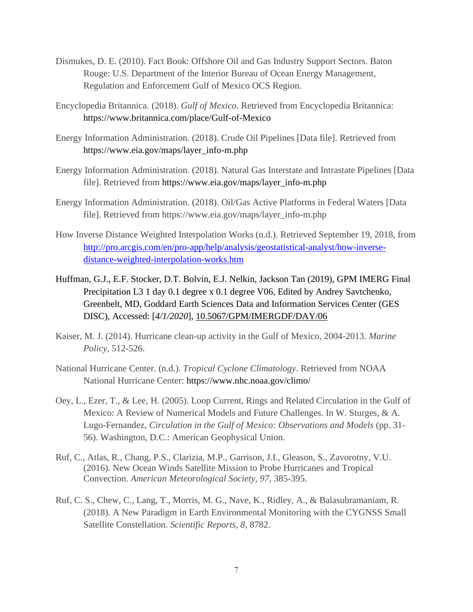- Dismukes, D. E. (2010). Fact Book: Offshore Oil and Gas Industry Support Sectors. Baton Rouge: U.S. Department of the Interior Bureau of Ocean Energy Management, Regulation and Enforcement Gulf of Mexico OCS Region.
- Encyclopedia Britannica. (2018). *Gulf of Mexico*. Retrieved from Encyclopedia Britannica: <https://www.britannica.com/place/Gulf-of-Mexico>
- Energy Information Administration. (2018). Crude Oil Pipelines [Data file]. Retrieved from [https://www.eia.gov/maps/layer\\_info-m.php](https://www.eia.gov/maps/layer_info-m.php)
- Energy Information Administration. (2018). Natural Gas Interstate and Intrastate Pipelines [Data file]. Retrieved from [https://www.eia.gov/maps/layer\\_info-m.php](https://www.eia.gov/maps/layer_info-m.php)
- Energy Information Administration. (2018). Oil/Gas Active Platforms in Federal Waters [Data file]. Retrieved from https://www.eia.gov/maps/layer\_info-m.php
- How Inverse Distance Weighted Interpolation Works (n.d.). Retrieved September 19, 2018, from [http://pro.arcgis.com/en/pro-app/help/analysis/geostatistical-analyst/how-inverse](http://pro.arcgis.com/en/pro-app/help/analysis/geostatistical-analyst/how-inverse-distance-weighted-interpolation-works.htm)[distance-weighted-interpolation-works.htm](http://pro.arcgis.com/en/pro-app/help/analysis/geostatistical-analyst/how-inverse-distance-weighted-interpolation-works.htm)
- Huffman, G.J., E.F. Stocker, D.T. Bolvin, E.J. Nelkin, Jackson Tan (2019), GPM IMERG Final Precipitation L3 1 day 0.1 degree x 0.1 degree V06, Edited by Andrey Savtchenko, Greenbelt, MD, Goddard Earth Sciences Data and Information Services Center (GES DISC), Accessed: [*4/1/2020*], [10.5067/GPM/IMERGDF/DAY/06](https://doi.org/10.5067/GPM/IMERGDF/DAY/06)
- Kaiser, M. J. (2014). Hurricane clean-up activity in the Gulf of Mexico, 2004-2013. *Marine Policy*, 512-526.
- National Hurricane Center. (n.d.). *Tropical Cyclone Climatology*. Retrieved from NOAA National Hurricane Center:<https://www.nhc.noaa.gov/climo/>
- Oey, L., Ezer, T., & Lee, H. (2005). Loop Current, Rings and Related Circulation in the Gulf of Mexico: A Review of Numerical Models and Future Challenges. In W. Sturges, & A. Lugo-Fernandez, *Circulation in the Gulf of Mexico: Observations and Models* (pp. 31- 56). Washington, D.C.: American Geophysical Union.
- Ruf, C., Atlas, R., Chang, P.S., Clarizia, M.P., Garrison, J.I., Gleason, S., Zavorotny, V.U. (2016). New Ocean Winds Satellite Mission to Probe Hurricanes and Tropical Convection. *American Meteorological Society, 97*, 385-395.
- Ruf, C. S., Chew, C., Lang, T., Morris, M. G., Nave, K., Ridley, A., & Balasubramaniam, R. (2018). A New Paradigm in Earth Environmental Monitoring with the CYGNSS Small Satellite Constellation. *Scientific Reports, 8*, 8782.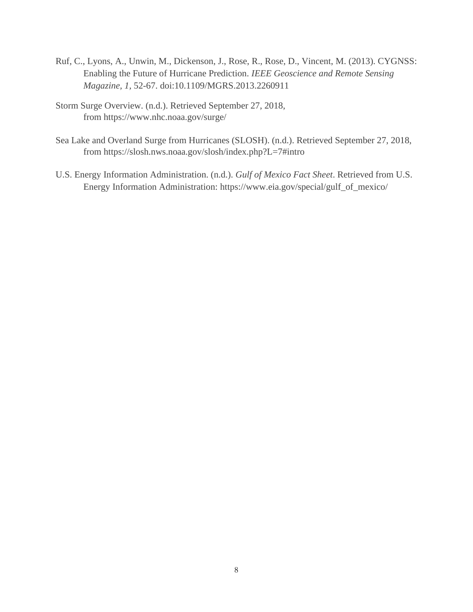- Ruf, C., Lyons, A., Unwin, M., Dickenson, J., Rose, R., Rose, D., Vincent, M. (2013). CYGNSS: Enabling the Future of Hurricane Prediction. *IEEE Geoscience and Remote Sensing Magazine, 1,* 52-67. doi:10.1109/MGRS.2013.2260911
- Storm Surge Overview. (n.d.). Retrieved September 27, 2018, from <https://www.nhc.noaa.gov/surge/>
- Sea Lake and Overland Surge from Hurricanes (SLOSH). (n.d.). Retrieved September 27, 2018, from <https://slosh.nws.noaa.gov/slosh/index.php?L=7#intro>
- U.S. Energy Information Administration. (n.d.). *Gulf of Mexico Fact Sheet*. Retrieved from U.S. Energy Information Administration: [https://www.eia.gov/special/gulf\\_of\\_mexico/](https://www.eia.gov/special/gulf_of_mexico/)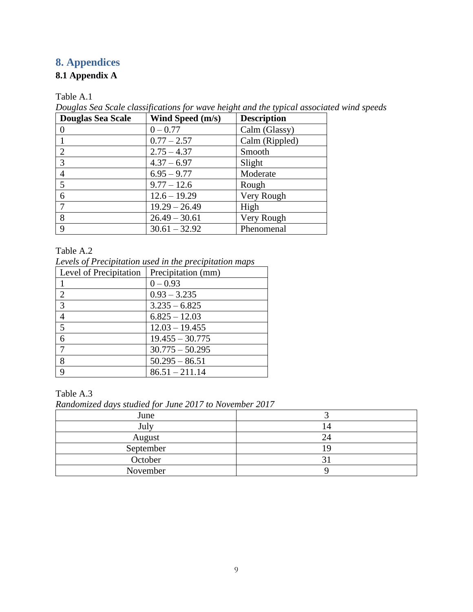# **8. Appendices**

## **8.1 Appendix A**

Table A.1

*Douglas Sea Scale classifications for wave height and the typical associated wind speeds*

| <b>Douglas Sea Scale</b> | Wind Speed (m/s) | <b>Description</b> |
|--------------------------|------------------|--------------------|
|                          | $0 - 0.77$       | Calm (Glassy)      |
|                          | $0.77 - 2.57$    | Calm (Rippled)     |
| $\overline{2}$           | $2.75 - 4.37$    | Smooth             |
| 3                        | $4.37 - 6.97$    | Slight             |
|                          | $6.95 - 9.77$    | Moderate           |
| 5                        | $9.77 - 12.6$    | Rough              |
| 6                        | $12.6 - 19.29$   | Very Rough         |
|                          | $19.29 - 26.49$  | High               |
| 8                        | $26.49 - 30.61$  | Very Rough         |
| $\mathbf Q$              | $30.61 - 32.92$  | Phenomenal         |

#### Table A.2

*Levels of Precipitation used in the precipitation maps*

| Level of Precipitation | Precipitation (mm) |
|------------------------|--------------------|
|                        | $0 - 0.93$         |
| $\overline{2}$         | $0.93 - 3.235$     |
| 3                      | $3.235 - 6.825$    |
| $\overline{4}$         | $6.825 - 12.03$    |
| 5                      | $12.03 - 19.455$   |
| 6                      | $19.455 - 30.775$  |
|                        | $30.775 - 50.295$  |
| 8                      | $50.295 - 86.51$   |
| Q                      | $86.51 - 211.14$   |

#### Table A.3

*Randomized days studied for June 2017 to November 2017*

| June      |     |
|-----------|-----|
| July      | I 4 |
| August    | 24  |
| September |     |
| October   |     |
| November  |     |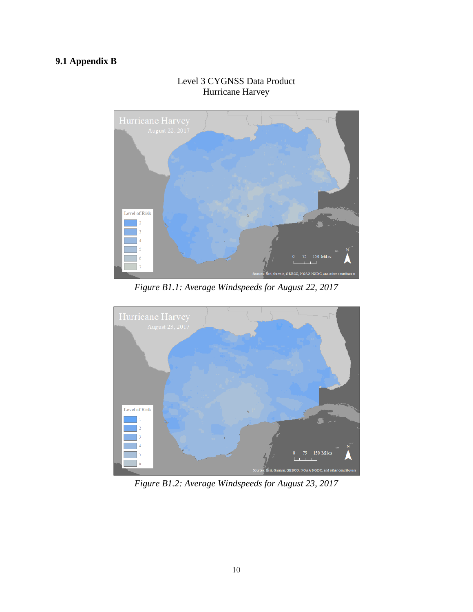# **9.1 Appendix B**



## Level 3 CYGNSS Data Product Hurricane Harvey

*Figure B1.1: Average Windspeeds for August 22, 2017*



*Figure B1.2: Average Windspeeds for August 23, 2017*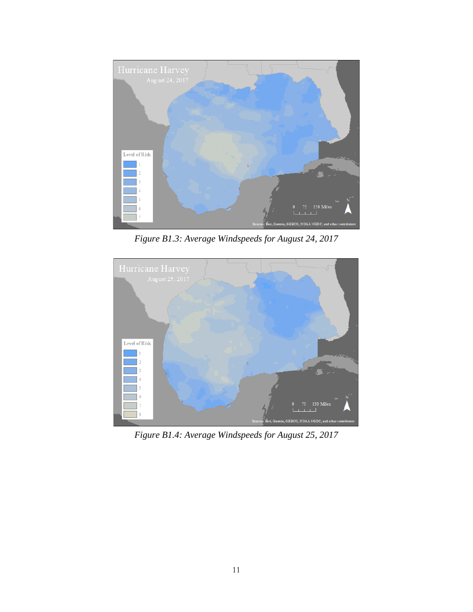

*Figure B1.3: Average Windspeeds for August 24, 2017*



*Figure B1.4: Average Windspeeds for August 25, 2017*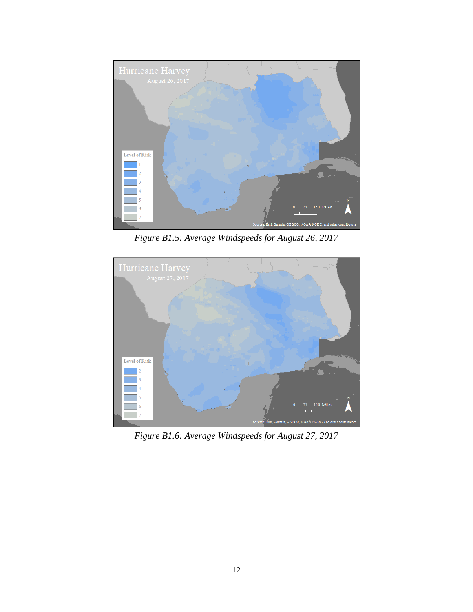

*Figure B1.5: Average Windspeeds for August 26, 2017*



*Figure B1.6: Average Windspeeds for August 27, 2017*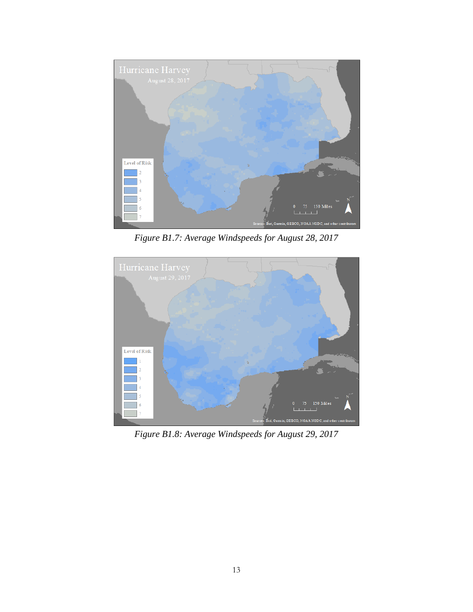

*Figure B1.7: Average Windspeeds for August 28, 2017*



*Figure B1.8: Average Windspeeds for August 29, 2017*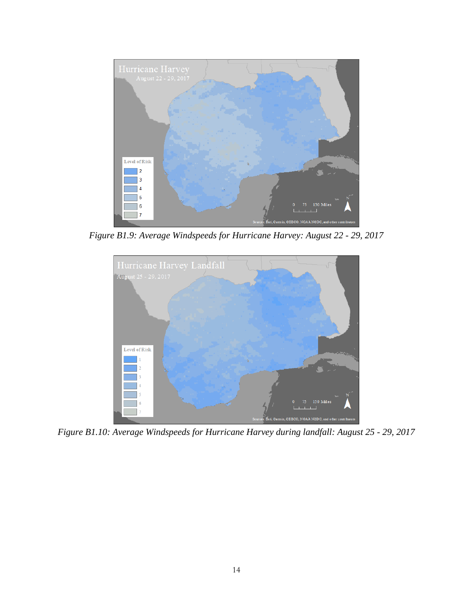

*Figure B1.9: Average Windspeeds for Hurricane Harvey: August 22 - 29, 2017*



*Figure B1.10: Average Windspeeds for Hurricane Harvey during landfall: August 25 - 29, 2017*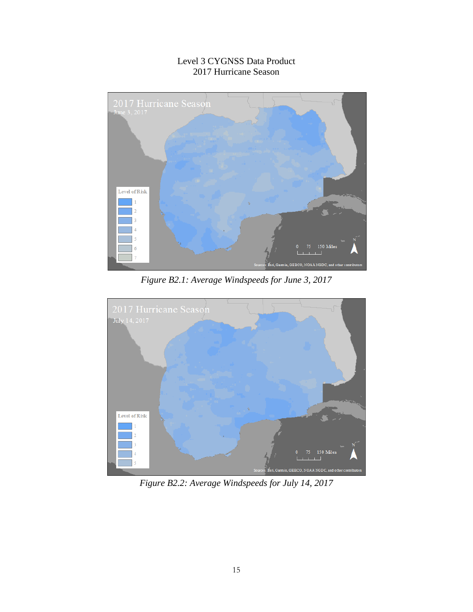## Level 3 CYGNSS Data Product 2017 Hurricane Season



*Figure B2.1: Average Windspeeds for June 3, 2017* 



*Figure B2.2: Average Windspeeds for July 14, 2017*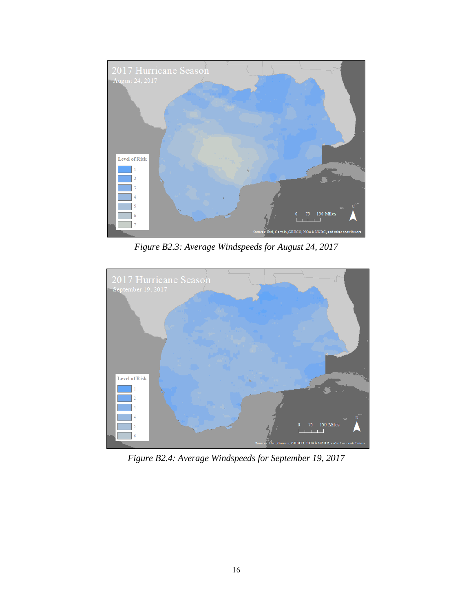

*Figure B2.3: Average Windspeeds for August 24, 2017* 



*Figure B2.4: Average Windspeeds for September 19, 2017*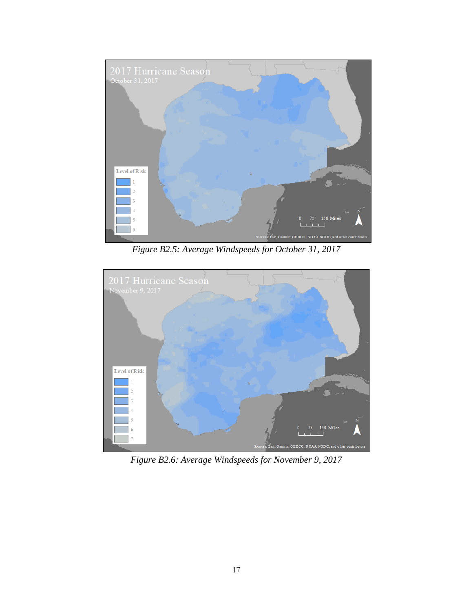

*Figure B2.5: Average Windspeeds for October 31, 2017* 



*Figure B2.6: Average Windspeeds for November 9, 2017*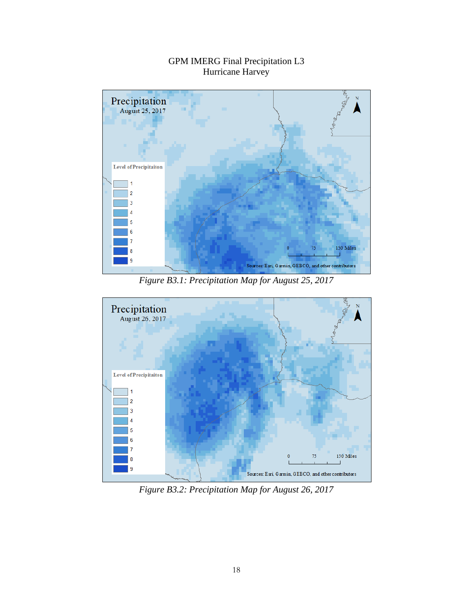

# GPM IMERG Final Precipitation L3 Hurricane Harvey

*Figure B3.1: Precipitation Map for August 25, 2017* 



*Figure B3.2: Precipitation Map for August 26, 2017*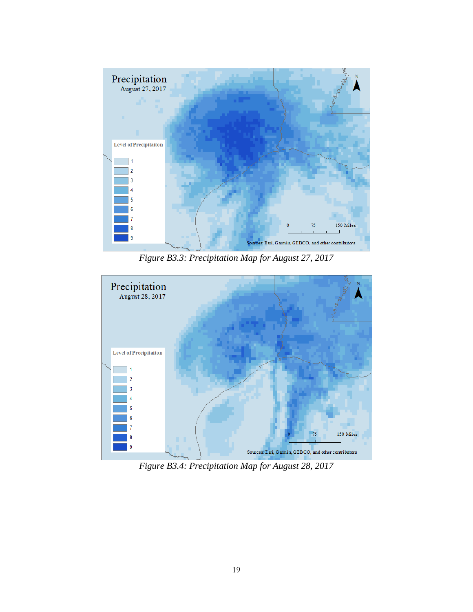

*Figure B3.3: Precipitation Map for August 27, 2017* 



*Figure B3.4: Precipitation Map for August 28, 2017*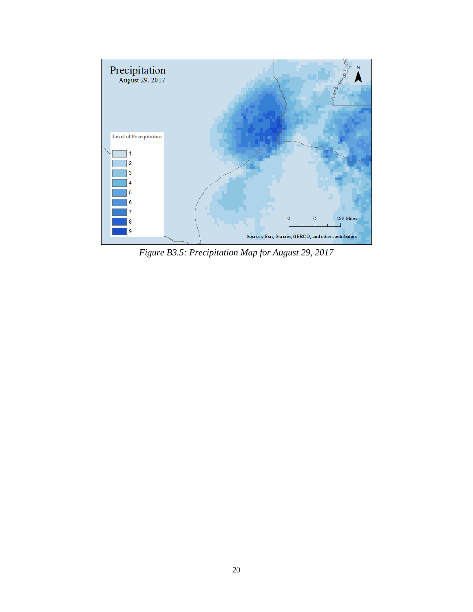

*Figure B3.5: Precipitation Map for August 29, 2017*